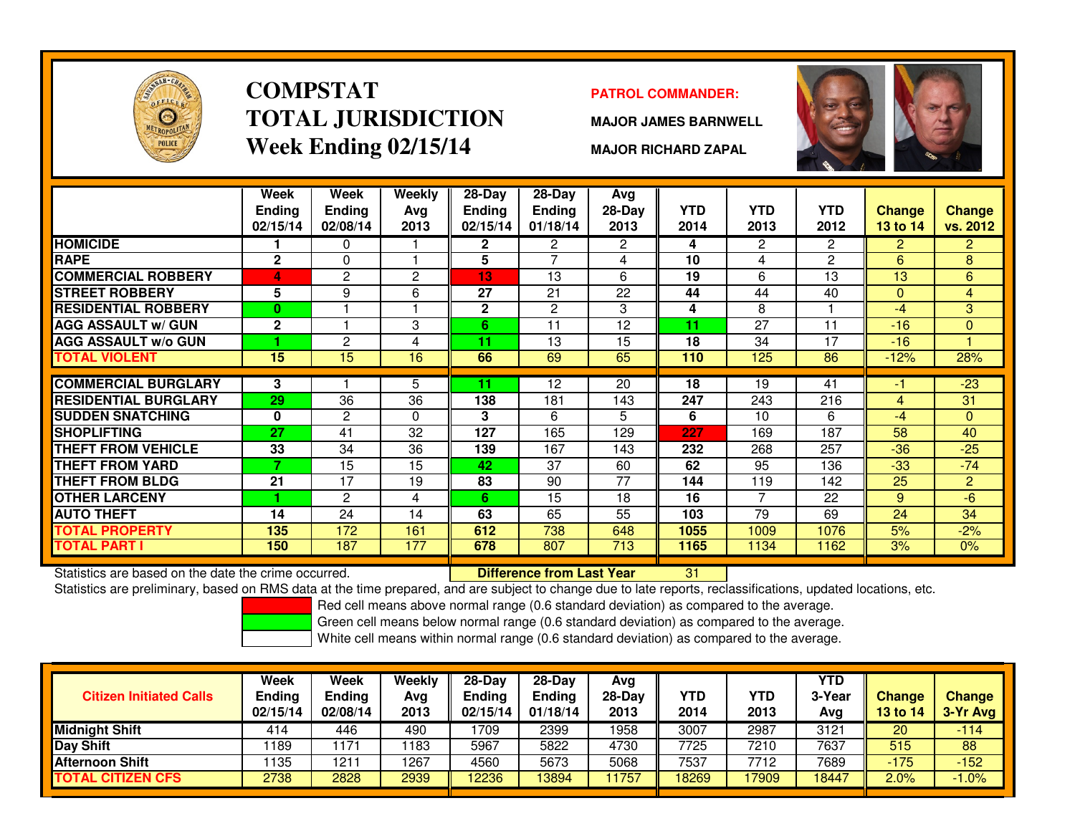

### **COMPSTATTOTAL JURISDICTIONWeek Ending 02/15/14**

### **PATROL COMMANDER:**

**MAJOR JAMES BARNWELL**



**MAJOR RICHARD ZAPAL**

|                                                      | Week<br><b>Ending</b><br>02/15/14 | Week<br><b>Ending</b><br>02/08/14 | <b>Weekly</b><br>Avg<br>2013 | $28 - Day$<br><b>Ending</b><br>02/15/14 | $28 - Day$<br><b>Ending</b><br>01/18/14 | <b>Avg</b><br>28-Day<br>2013 | <b>YTD</b><br>2014 | <b>YTD</b><br>2013 | <b>YTD</b><br>2012 | <b>Change</b><br>13 to 14 | <b>Change</b><br>vs. 2012 |
|------------------------------------------------------|-----------------------------------|-----------------------------------|------------------------------|-----------------------------------------|-----------------------------------------|------------------------------|--------------------|--------------------|--------------------|---------------------------|---------------------------|
| <b>HOMICIDE</b>                                      |                                   | 0                                 |                              | $\mathbf{2}$                            | 2                                       | $\overline{2}$               | 4                  | $\overline{2}$     | 2                  | $\overline{2}$            | $\overline{2}$            |
| <b>RAPE</b>                                          | $\mathbf{2}$                      | 0                                 |                              | 5                                       | 7                                       | 4                            | 10                 | 4                  | $\overline{2}$     | 6                         | 8                         |
| <b>COMMERCIAL ROBBERY</b>                            | 4                                 | $\overline{c}$                    | $\overline{c}$               | 13                                      | 13                                      | 6                            | 19                 | 6                  | 13                 | 13                        | 6                         |
| <b>STREET ROBBERY</b>                                | 5                                 | 9                                 | 6                            | 27                                      | 21                                      | 22                           | 44                 | 44                 | 40                 | $\Omega$                  | $\overline{4}$            |
| <b>RESIDENTIAL ROBBERY</b>                           | $\bf{0}$                          |                                   |                              | $\mathbf{2}$                            | 2                                       | 3                            | 4                  | 8                  |                    | $-4$                      | 3                         |
| <b>AGG ASSAULT w/ GUN</b>                            | $\mathbf{2}$                      |                                   | 3                            | 6                                       | 11                                      | 12                           | 11                 | 27                 | 11                 | $-16$                     | $\overline{0}$            |
| <b>AGG ASSAULT w/o GUN</b>                           |                                   | 2                                 | 4                            | 11                                      | 13                                      | 15                           | 18                 | 34                 | 17                 | $-16$                     |                           |
| TOTAL VIOLENT                                        | 15                                | 15                                | 16                           | 66                                      | 69                                      | 65                           | 110                | 125                | 86                 | $-12%$                    | 28%                       |
|                                                      |                                   |                                   |                              |                                         |                                         |                              |                    |                    |                    |                           |                           |
| <b>COMMERCIAL BURGLARY</b>                           | 3                                 |                                   | 5                            | 11                                      | 12                                      | 20                           | 18                 | 19                 | 41                 | -1                        | $-23$                     |
| <b>RESIDENTIAL BURGLARY</b>                          | 29                                | 36                                | 36                           | 138                                     | 181                                     | 143                          | 247                | 243                | 216                | 4                         | 31                        |
| <b>SUDDEN SNATCHING</b>                              | 0                                 | $\overline{2}$                    | $\Omega$                     | 3                                       | 6                                       | 5.                           | 6                  | 10                 | 6                  | $-4$                      | $\Omega$                  |
| <b>SHOPLIFTING</b>                                   | 27                                | 41                                | 32                           | 127                                     | 165                                     | 129                          | 227                | 169                | 187                | 58                        | 40                        |
| <b>THEFT FROM VEHICLE</b>                            | 33                                | 34                                | 36                           | 139                                     | 167                                     | 143                          | 232                | 268                | 257                | $-36$                     | $-25$                     |
| <b>THEFT FROM YARD</b>                               | 7                                 | 15                                | 15                           | 42                                      | 37                                      | 60                           | 62                 | 95                 | 136                | $-33$                     | $-74$                     |
| <b>THEFT FROM BLDG</b>                               | 21                                | 17                                | 19                           | 83                                      | 90                                      | 77                           | 144                | 119                | 142                | 25                        | $\overline{2}$            |
| <b>OTHER LARCENY</b>                                 |                                   | 2                                 | 4                            | 6                                       | 15                                      | 18                           | 16                 | $\overline{7}$     | 22                 | 9                         | $-6$                      |
| <b>AUTO THEFT</b>                                    | 14                                | 24                                | 14                           | 63                                      | 65                                      | 55                           | 103                | $\overline{79}$    | 69                 | 24                        | 34                        |
| <b>TOTAL PROPERTY</b>                                | 135                               | 172                               | 161                          | 612                                     | 738                                     | 648                          | 1055               | 1009               | 1076               | 5%                        | $-2%$                     |
| <b>TOTAL PART I</b>                                  | 150                               | 187                               | 177                          | 678                                     | 807                                     | 713                          | 1165               | 1134               | 1162               | 3%                        | 0%                        |
| Statistics are based on the date the crime occurred. |                                   |                                   |                              |                                         | <b>Difference from Last Year</b>        |                              | 31                 |                    |                    |                           |                           |

Statistics are based on the date the crime occurred. **Difference from Last Year** 

Statistics are preliminary, based on RMS data at the time prepared, and are subject to change due to late reports, reclassifications, updated locations, etc.

Red cell means above normal range (0.6 standard deviation) as compared to the average.

Green cell means below normal range (0.6 standard deviation) as compared to the average.

| <b>Citizen Initiated Calls</b> | Week<br>Ending<br>02/15/14 | <b>Week</b><br><b>Ending</b><br>02/08/14 | Weekly<br>Avg<br>2013 | $28-Dav$<br><b>Ending</b><br>02/15/14 | $28-Day$<br><b>Ending</b><br>01/18/14 | Avg<br>28-Dav<br>2013 | YTD<br>2014 | YTD<br>2013 | YTD<br>3-Year<br>Avg | <b>Change</b><br><b>13 to 14</b> | <b>Change</b><br>3-Yr Avg |
|--------------------------------|----------------------------|------------------------------------------|-----------------------|---------------------------------------|---------------------------------------|-----------------------|-------------|-------------|----------------------|----------------------------------|---------------------------|
| <b>Midnight Shift</b>          | 414                        | 446                                      | 490                   | 1709                                  | 2399                                  | 1958                  | 3007        | 2987        | 3121                 | 20                               | $-114/$                   |
| Day Shift                      | 1189                       | 171                                      | 1183                  | 5967                                  | 5822                                  | 4730                  | 7725        | 7210        | 7637                 | 515                              | 88                        |
| <b>Afternoon Shift</b>         | 1135                       | 1211                                     | 1267                  | 4560                                  | 5673                                  | 5068                  | 7537        | 7712        | 7689                 | $-175$                           | $-152$                    |
| <b>TOTAL CITIZEN CFS</b>       | 2738                       | 2828                                     | 2939                  | 12236                                 | 13894                                 | 1757                  | 18269       | 7909        | 18447                | 2.0%                             | $-1.0%$                   |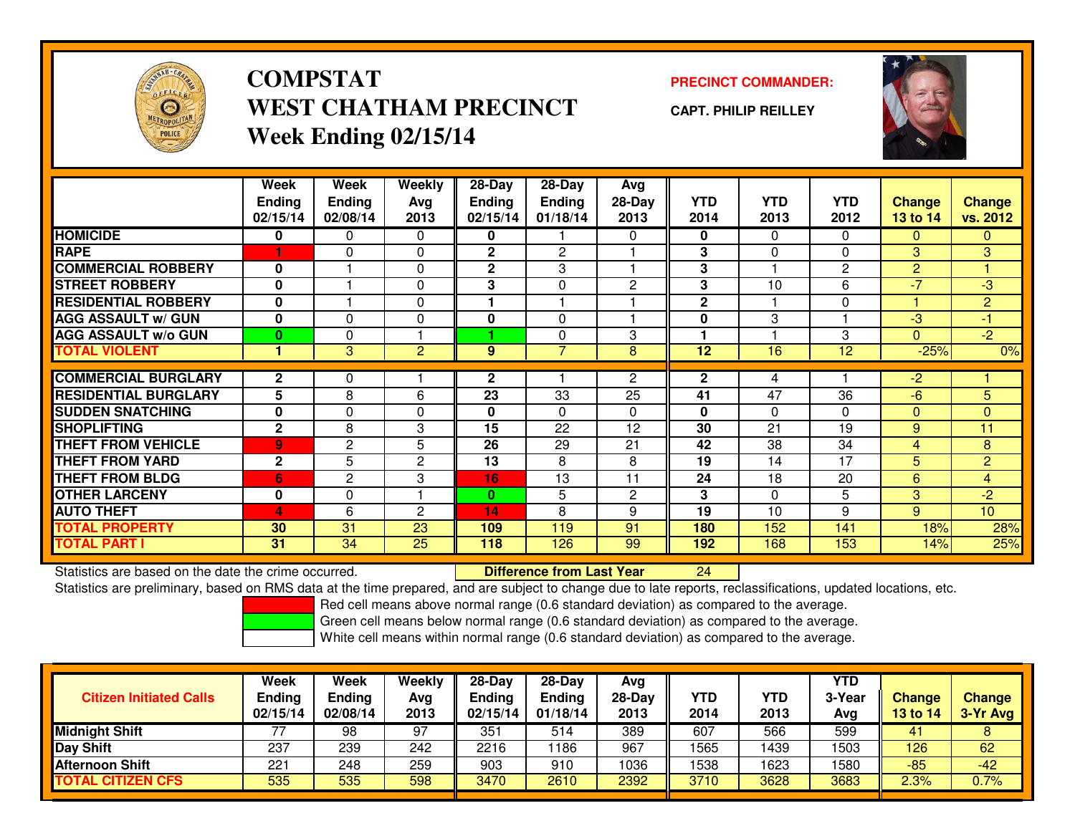

# **COMPSTATWEST CHATHAM PRECINCTWeek Ending 02/15/14**

### **PRECINCT COMMANDER:**

**CAPT. PHILIP REILLEY**



|                             | Week<br><b>Ending</b><br>02/15/14 | Week<br><b>Ending</b><br>02/08/14 | Weekly<br>Ava<br>2013 | $28-Day$<br><b>Ending</b><br>02/15/14 | $28$ -Day<br><b>Ending</b><br>01/18/14 | Avg<br>28-Day<br>2013 | <b>YTD</b><br>2014 | <b>YTD</b><br>2013 | <b>YTD</b><br>2012 | <b>Change</b><br><b>13 to 14</b> | Change<br>vs. 2012 |
|-----------------------------|-----------------------------------|-----------------------------------|-----------------------|---------------------------------------|----------------------------------------|-----------------------|--------------------|--------------------|--------------------|----------------------------------|--------------------|
| <b>HOMICIDE</b>             | 0                                 | 0                                 | 0                     | 0                                     |                                        | $\Omega$              | 0                  | $\Omega$           | 0                  | $\mathbf{0}$                     | 0                  |
| <b>RAPE</b>                 |                                   | $\Omega$                          | 0                     | $\mathbf{2}$                          | $\mathbf{2}$                           |                       | 3                  | $\mathbf{0}$       | $\Omega$           | 3                                | 3                  |
| <b>COMMERCIAL ROBBERY</b>   | $\mathbf{0}$                      |                                   | 0                     | $\mathbf{2}$                          | 3                                      |                       | 3                  |                    | 2                  | 2                                |                    |
| <b>STREET ROBBERY</b>       | 0                                 |                                   | 0                     | 3                                     | 0                                      | $\overline{2}$        | 3                  | 10                 | 6                  | $-7$                             | $-3$               |
| <b>RESIDENTIAL ROBBERY</b>  | $\bf{0}$                          |                                   | 0                     |                                       |                                        |                       | $\mathbf{2}$       |                    | $\Omega$           |                                  | $\overline{2}$     |
| <b>AGG ASSAULT w/ GUN</b>   | $\bf{0}$                          | 0                                 | 0                     | 0                                     | $\Omega$                               |                       | 0                  | 3                  |                    | $-3$                             | $-1$               |
| <b>AGG ASSAULT w/o GUN</b>  | $\bf{0}$                          | 0                                 |                       |                                       | $\Omega$                               | 3                     |                    |                    | 3                  | $\Omega$                         | $-2$               |
| <b>TOTAL VIOLENT</b>        |                                   | 3                                 | $\overline{c}$        | 9                                     | 7                                      | 8                     | 12                 | 16                 | $\overline{12}$    | $-25%$                           | 0%                 |
|                             |                                   |                                   |                       |                                       |                                        |                       |                    |                    |                    |                                  |                    |
| <b>COMMERCIAL BURGLARY</b>  | $\mathbf{2}$                      | 0                                 |                       | $\mathbf{2}$                          |                                        | $\overline{2}$        | $\mathbf{2}$       | 4                  |                    | $-2$                             |                    |
| <b>RESIDENTIAL BURGLARY</b> | 5                                 | 8                                 | 6                     | $\overline{23}$                       | $\overline{33}$                        | 25                    | 41                 | $\overline{47}$    | 36                 | $-6$                             | 5                  |
| <b>SUDDEN SNATCHING</b>     | $\mathbf 0$                       | 0                                 | 0                     | 0                                     | $\Omega$                               | $\Omega$              | $\bf{0}$           | $\Omega$           | $\Omega$           | $\Omega$                         | $\overline{0}$     |
| <b>SHOPLIFTING</b>          | $\mathbf{2}$                      | 8                                 | 3                     | 15                                    | 22                                     | 12                    | 30                 | 21                 | 19                 | 9                                | 11                 |
| <b>THEFT FROM VEHICLE</b>   | 9                                 | $\mathbf{2}$                      | 5                     | 26                                    | 29                                     | 21                    | 42                 | 38                 | 34                 | 4                                | 8                  |
| <b>THEFT FROM YARD</b>      | $\mathbf{2}$                      | 5                                 | 2                     | 13                                    | 8                                      | 8                     | 19                 | 14                 | 17                 | 5                                | $\overline{c}$     |
| <b>THEFT FROM BLDG</b>      | 6                                 | $\mathbf{2}$                      | 3                     | 16                                    | 13                                     | 11                    | 24                 | 18                 | 20                 | 6                                | $\overline{4}$     |
| <b>OTHER LARCENY</b>        | $\mathbf 0$                       | 0                                 |                       | $\bf{0}$                              | 5                                      | $\overline{2}$        | 3                  | $\mathbf{0}$       | 5                  | 3                                | $-2$               |
| <b>AUTO THEFT</b>           | 4                                 | 6                                 | 2                     | 14                                    | 8                                      | 9                     | 19                 | 10                 | 9                  | 9                                | 10 <sup>10</sup>   |
| <b>TOTAL PROPERTY</b>       | 30                                | 31                                | 23                    | 109                                   | 119                                    | 91                    | 180                | 152                | 141                | 18%                              | 28%                |
| <b>TOTAL PART I</b>         | 31                                | 34                                | 25                    | 118                                   | 126                                    | 99                    | 192                | 168                | 153                | 14%                              | 25%                |

Statistics are based on the date the crime occurred. **Difference from Last Year** 

Statistics are based on the date the crime occurred.<br>Statistics are preliminary, based on RMS data at the time prepared, and are subject to change due to late reports, reclassifications, updated locations, etc.

Red cell means above normal range (0.6 standard deviation) as compared to the average.

Green cell means below normal range (0.6 standard deviation) as compared to the average.

| <b>Citizen Initiated Calls</b> | Week<br><b>Ending</b><br>02/15/14 | <b>Week</b><br><b>Ending</b><br>02/08/14 | Weekly<br>Avg<br>2013 | 28-Day<br>Ending<br>02/15/14 | $28-Dav$<br><b>Ending</b><br>01/18/14 | Avg<br>28-Day<br>2013 | YTD<br>2014 | YTD<br>2013 | <b>YTD</b><br>3-Year<br>Avg | <b>Change</b><br>13 to 14 | <b>Change</b><br>3-Yr Avg |
|--------------------------------|-----------------------------------|------------------------------------------|-----------------------|------------------------------|---------------------------------------|-----------------------|-------------|-------------|-----------------------------|---------------------------|---------------------------|
| Midnight Shift                 |                                   | 98                                       | 97                    | 351                          | 514                                   | 389                   | 607         | 566         | 599                         | 41                        |                           |
| Day Shift                      | 237                               | 239                                      | 242                   | 2216                         | 186                                   | 967                   | 1565        | 1439        | 1503                        | 126                       | 62                        |
| <b>Afternoon Shift</b>         | 221                               | 248                                      | 259                   | 903                          | 910                                   | 1036                  | 1538        | 1623        | 1580                        | -85                       | $-42$                     |
| <b>TOTAL CITIZEN CFS</b>       | 535                               | 535                                      | 598                   | 3470                         | 2610                                  | 2392                  | 3710        | 3628        | 3683                        | 2.3%                      | 0.7%                      |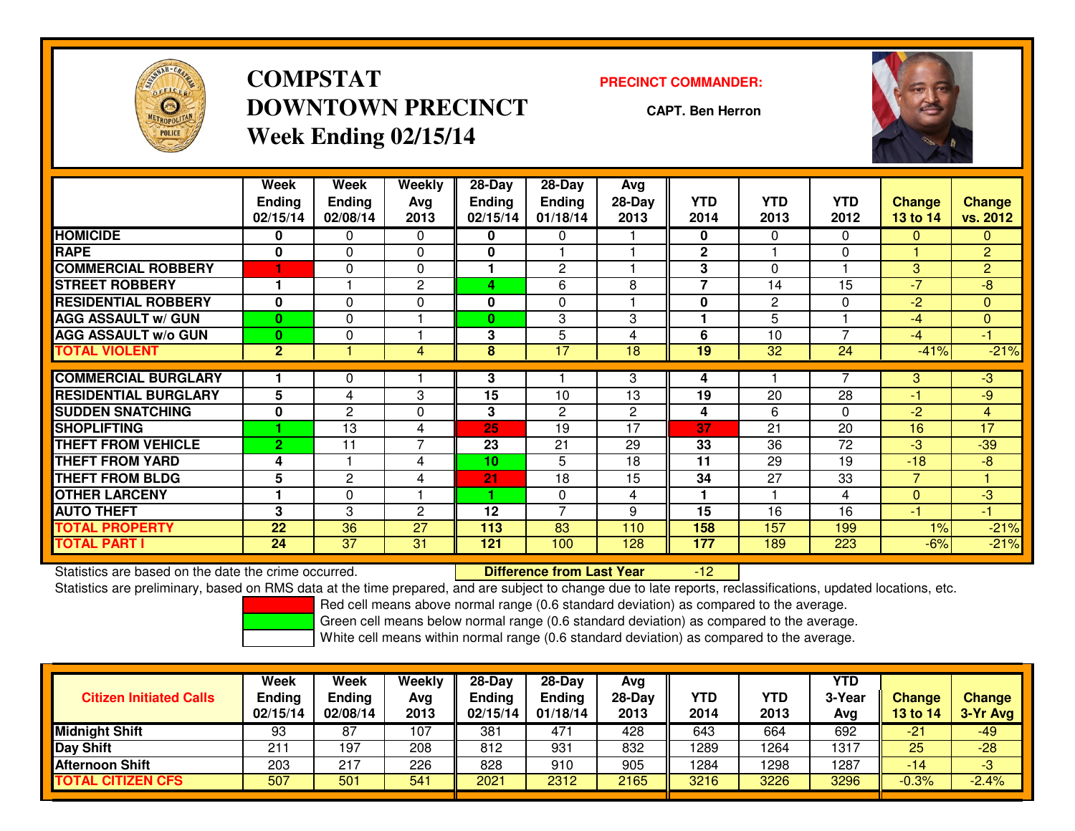

# **COMPSTATDOWNTOWN PRECINCTWeek Ending 02/15/14**

#### **PRECINCT COMMANDER:**

**CAPT. Ben Herron**



|                             | Week<br><b>Ending</b><br>02/15/14 | Week<br><b>Ending</b><br>02/08/14 | Weekly<br>Avg<br>2013 | $28-Day$<br><b>Ending</b><br>02/15/14 | $28$ -Day<br><b>Ending</b><br>01/18/14 | Avg<br>$28-Day$<br>2013 | <b>YTD</b><br>2014 | <b>YTD</b><br>2013 | <b>YTD</b><br>2012 | <b>Change</b><br><b>13 to 14</b> | <b>Change</b><br>vs. 2012 |
|-----------------------------|-----------------------------------|-----------------------------------|-----------------------|---------------------------------------|----------------------------------------|-------------------------|--------------------|--------------------|--------------------|----------------------------------|---------------------------|
| <b>HOMICIDE</b>             | 0                                 | 0                                 | $\Omega$              | 0                                     | 0                                      |                         | 0                  | $\mathbf{0}$       | $\Omega$           | $\mathbf{0}$                     | $\mathbf{0}$              |
| <b>RAPE</b>                 | 0                                 | $\Omega$                          | $\Omega$              | 0                                     |                                        |                         | $\mathbf{2}$       |                    | $\Omega$           |                                  | $\overline{2}$            |
| <b>COMMERCIAL ROBBERY</b>   |                                   | $\Omega$                          | $\Omega$              |                                       | 2                                      |                         | 3                  | $\Omega$           |                    | 3                                | $\overline{2}$            |
| <b>STREET ROBBERY</b>       |                                   |                                   | 2                     | 4                                     | 6                                      | 8                       | 7                  | 14                 | 15                 | $\overline{7}$                   | $-8$                      |
| <b>RESIDENTIAL ROBBERY</b>  | $\bf{0}$                          | 0                                 | $\Omega$              | 0                                     | $\Omega$                               |                         | $\bf{0}$           | 2                  | $\Omega$           | $-2$                             | $\Omega$                  |
| <b>AGG ASSAULT w/ GUN</b>   | $\mathbf{0}$                      | 0                                 |                       | $\bf{0}$                              | 3                                      | 3                       |                    | 5                  |                    | $-4$                             | $\mathbf{0}$              |
| <b>AGG ASSAULT w/o GUN</b>  | $\mathbf{0}$                      | 0                                 |                       | 3                                     | 5                                      | 4                       | 6                  | 10                 | $\overline{ }$     | $-4$                             | $-1$                      |
| <b>TOTAL VIOLENT</b>        | 2 <sup>1</sup>                    |                                   | 4                     | 8                                     | 17                                     | 18                      | 19                 | 32                 | 24                 | $-41%$                           | $-21%$                    |
|                             |                                   |                                   |                       |                                       |                                        |                         |                    |                    |                    |                                  |                           |
| <b>COMMERCIAL BURGLARY</b>  |                                   | 0                                 |                       | 3                                     |                                        | 3                       | 4                  |                    |                    | 3                                | $-3$                      |
| <b>RESIDENTIAL BURGLARY</b> | 5                                 | 4                                 | 3                     | 15                                    | 10                                     | 13                      | 19                 | 20                 | 28                 | $-1$                             | -9                        |
| <b>SUDDEN SNATCHING</b>     | 0                                 | $\mathbf{2}$                      | $\Omega$              | 3                                     | 2                                      | $\mathbf{2}$            | 4                  | 6                  | 0                  | -2                               | $\overline{4}$            |
| <b>SHOPLIFTING</b>          |                                   | 13                                | 4                     | 25                                    | 19                                     | 17                      | 37                 | 21                 | 20                 | 16                               | $\overline{17}$           |
| <b>THEFT FROM VEHICLE</b>   | $\overline{2}$                    | 11                                | 7                     | 23                                    | 21                                     | 29                      | 33                 | 36                 | 72                 | $-3$                             | $-39$                     |
| <b>THEFT FROM YARD</b>      | 4                                 |                                   | 4                     | 10                                    | 5                                      | 18                      | 11                 | 29                 | 19                 | $-18$                            | $-8$                      |
| <b>THEFT FROM BLDG</b>      | 5                                 | $\mathbf{2}$                      | 4                     | 21                                    | 18                                     | 15                      | 34                 | 27                 | 33                 | $\overline{7}$                   |                           |
| <b>OTHER LARCENY</b>        |                                   | 0                                 |                       |                                       | 0                                      | 4                       |                    |                    | 4                  | $\Omega$                         | $-3$                      |
| <b>AUTO THEFT</b>           | 3                                 | 3                                 | 2                     | 12                                    | $\overline{7}$                         | 9                       | 15                 | 16                 | 16                 | -1                               | $-1$                      |
| TOTAL PROPERTY              | 22                                | 36                                | 27                    | 113                                   | 83                                     | 110                     | 158                | 157                | 199                | 1%                               | $-21%$                    |
| TOTAL PART I                | 24                                | $\overline{37}$                   | 31                    | 121                                   | 100                                    | 128                     | 177                | 189                | 223                | $-6%$                            | $-21%$                    |

Statistics are based on the date the crime occurred. **Difference from Last Year** 

Statistics are based on the date the crime occurred.<br>Statistics are preliminary, based on RMS data at the time prepared, and are subject to change due to late reports, reclassifications, updated locations, etc.

Red cell means above normal range (0.6 standard deviation) as compared to the average.

Green cell means below normal range (0.6 standard deviation) as compared to the average.

| <b>Citizen Initiated Calls</b> | Week<br><b>Ending</b><br>02/15/14 | <b>Week</b><br><b>Ending</b><br>02/08/14 | Weekly<br>Avg<br>2013 | 28-Day<br>Ending<br>02/15/14 | $28-Dav$<br><b>Ending</b><br>01/18/14 | Avg<br>28-Day<br>2013 | YTD<br>2014 | YTD<br>2013 | <b>YTD</b><br>3-Year<br>Ava | <b>Change</b><br>13 to 14 | <b>Change</b><br>3-Yr Avg |
|--------------------------------|-----------------------------------|------------------------------------------|-----------------------|------------------------------|---------------------------------------|-----------------------|-------------|-------------|-----------------------------|---------------------------|---------------------------|
| <b>Midnight Shift</b>          | 93                                | 87                                       | 107                   | 381                          | 47 <sup>1</sup>                       | 428                   | 643         | 664         | 692                         | $-21$                     | $-49$                     |
| <b>Day Shift</b>               | $21^{\circ}$                      | 197                                      | 208                   | 812                          | 931                                   | 832                   | 1289        | 1264        | 1317                        | 25                        | $-28$                     |
| <b>Afternoon Shift</b>         | 203                               | 217                                      | 226                   | 828                          | 910                                   | 905                   | 1284        | 1298        | 1287                        | -14                       | -3                        |
| <b>TOTAL CITIZEN CFS</b>       | 507                               | 501                                      | 541                   | 2021                         | 2312                                  | 2165                  | 3216        | 3226        | 3296                        | $-0.3%$                   | $-2.4%$                   |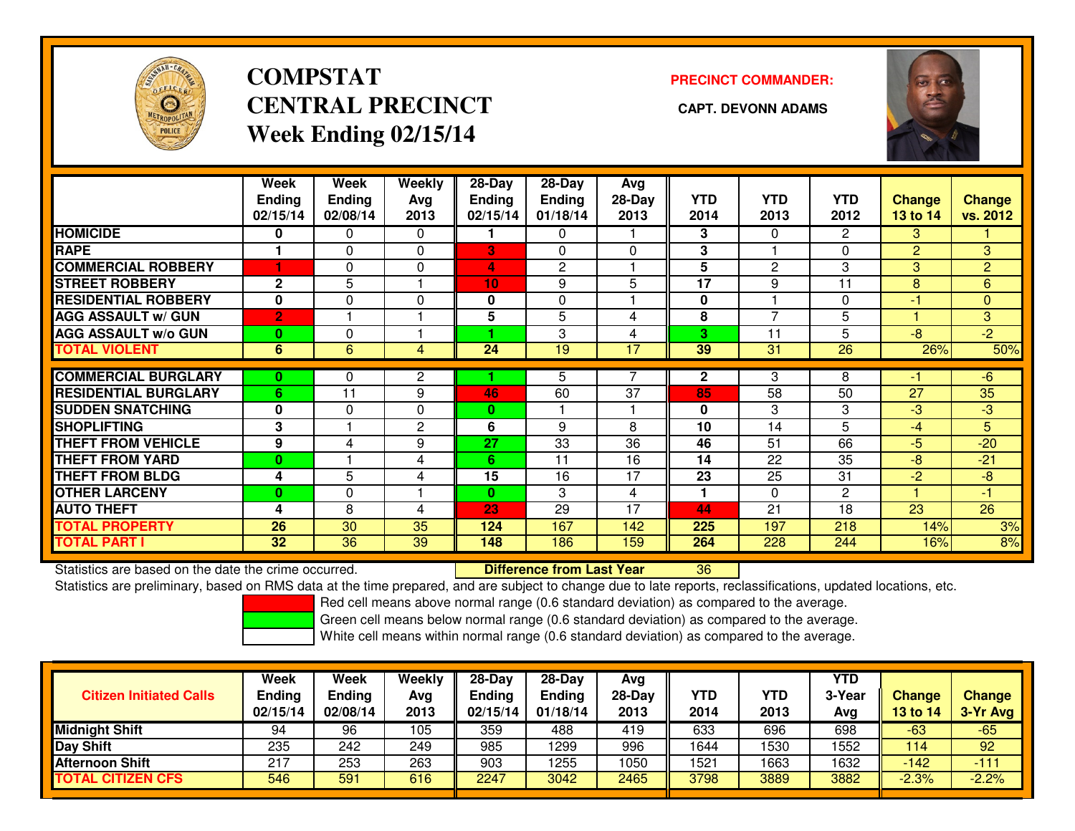

# **COMPSTATCENTRAL PRECINCT** CAPT. DEVONN ADAMS **Week Ending 02/15/14**

### **PRECINCT COMMANDER:**



|                             | Week<br><b>Ending</b><br>02/15/14 | Week<br><b>Ending</b><br>02/08/14 | Weekly<br>Ava<br>2013 | $28-Day$<br><b>Ending</b><br>02/15/14 | $28-Day$<br><b>Ending</b><br>01/18/14 | Avg<br>28-Day<br>2013 | <b>YTD</b><br>2014 | <b>YTD</b><br>2013       | YTD<br>2012    | Change<br>13 to 14 | <b>Change</b><br>vs. 2012 |
|-----------------------------|-----------------------------------|-----------------------------------|-----------------------|---------------------------------------|---------------------------------------|-----------------------|--------------------|--------------------------|----------------|--------------------|---------------------------|
| <b>HOMICIDE</b>             | $\bf{0}$                          | 0                                 | $\Omega$              |                                       | 0                                     |                       | 3                  | $\Omega$                 | $\overline{2}$ | 3                  |                           |
| <b>RAPE</b>                 |                                   | $\Omega$                          | $\Omega$              | 3                                     | $\mathbf{0}$                          | $\Omega$              | 3                  |                          | $\Omega$       | 2                  | 3                         |
| <b>COMMERCIAL ROBBERY</b>   | 1                                 | $\Omega$                          | 0                     | 4                                     | 2                                     |                       | 5                  | 2                        | 3              | 3                  | $\overline{2}$            |
| <b>STREET ROBBERY</b>       | $\mathbf{2}$                      | 5                                 |                       | 10                                    | 9                                     | 5                     | 17                 | 9                        | 11             | 8                  | 6                         |
| <b>RESIDENTIAL ROBBERY</b>  | $\bf{0}$                          | $\Omega$                          | 0                     | $\mathbf{0}$                          | $\Omega$                              |                       | $\mathbf{0}$       |                          | $\Omega$       | $-1$               | $\overline{0}$            |
| <b>AGG ASSAULT w/ GUN</b>   | $\overline{2}$                    |                                   |                       | 5                                     | 5                                     | 4                     | 8                  | $\overline{\phantom{0}}$ | 5              |                    | 3                         |
| <b>AGG ASSAULT w/o GUN</b>  | $\bf{0}$                          | $\Omega$                          |                       | 4.                                    | 3                                     | 4                     | 3                  | 11                       | 5              | -8                 | $-2$                      |
| <b>TOTAL VIOLENT</b>        | 6                                 | 6                                 | 4                     | 24                                    | 19                                    | 17                    | 39                 | 31                       | 26             | 26%                | 50%                       |
| <b>COMMERCIAL BURGLARY</b>  | 0                                 | 0                                 | 2                     |                                       | 5                                     |                       | $\mathbf{2}$       | 3                        | 8              | -1                 | $-6$                      |
| <b>RESIDENTIAL BURGLARY</b> | 6                                 | 11                                | 9                     | 46                                    | 60                                    | 37                    | 85                 | 58                       | 50             | 27                 | 35                        |
| <b>SUDDEN SNATCHING</b>     | 0                                 |                                   | $\Omega$              |                                       |                                       |                       |                    | 3                        |                | $-3$               | $-3$                      |
|                             |                                   | $\Omega$                          |                       | $\bf{0}$                              |                                       |                       | 0                  |                          | 3              |                    |                           |
| <b>SHOPLIFTING</b>          | 3                                 |                                   | 2                     | 6                                     | 9                                     | 8                     | 10                 | 14                       | 5              | $-4$               | 5.                        |
| <b>THEFT FROM VEHICLE</b>   | 9                                 | 4                                 | 9                     | 27                                    | 33                                    | 36                    | 46                 | 51                       | 66             | -5                 | $-20$                     |
| <b>THEFT FROM YARD</b>      | $\bf{0}$                          |                                   | 4                     | 6                                     | 11                                    | 16                    | 14                 | 22                       | 35             | $-8$               | $-21$                     |
| <b>THEFT FROM BLDG</b>      | 4                                 | 5                                 | 4                     | 15                                    | 16                                    | 17                    | 23                 | 25                       | 31             | $-2$               | $-8$                      |
| <b>OTHER LARCENY</b>        | 0                                 | $\Omega$                          |                       | $\bf{0}$                              | 3                                     | 4                     | 1                  | $\Omega$                 | $\mathbf{2}$   |                    | -1                        |
| <b>AUTO THEFT</b>           | 4                                 | 8                                 | 4                     | 23                                    | 29                                    | 17                    | 44                 | 21                       | 18             | 23                 | 26                        |
| <b>TOTAL PROPERTY</b>       | 26                                | 30                                | 35                    | 124                                   | 167                                   | 142                   | 225                | 197                      | 218            | 14%                | 3%                        |
| <b>TOTAL PART I</b>         | 32                                | $\overline{36}$                   | 39                    | 148                                   | 186                                   | 159                   | 264                | 228                      | 244            | 16%                | 8%                        |

Statistics are based on the date the crime occurred. **Difference from Last Year** 

Statistics are preliminary, based on RMS data at the time prepared, and are subject to change due to late reports, reclassifications, updated locations, etc.

Red cell means above normal range (0.6 standard deviation) as compared to the average.

Green cell means below normal range (0.6 standard deviation) as compared to the average.

<sup>36</sup>

| <b>Citizen Initiated Calls</b> | Week<br>Ending<br>02/15/14 | Week<br>Ending<br>02/08/14 | <b>Weekly</b><br>Avg<br>2013 | $28-Day$<br><b>Ending</b><br>02/15/14 | $28 - Day$<br><b>Ending</b><br>01/18/14 | Avg<br>28-Day<br>2013 | YTD<br>2014 | YTD<br>2013 | <b>YTD</b><br>3-Year<br>Avg | Change<br><b>13 to 14</b> | <b>Change</b><br>3-Yr Avg |
|--------------------------------|----------------------------|----------------------------|------------------------------|---------------------------------------|-----------------------------------------|-----------------------|-------------|-------------|-----------------------------|---------------------------|---------------------------|
| Midnight Shift                 | 94                         | 96                         | 105                          | 359                                   | 488                                     | 419                   | 633         | 696         | 698                         | $-63$                     | $-65$                     |
| Day Shift                      | 235                        | 242                        | 249                          | 985                                   | 1299                                    | 996                   | 1644        | 1530        | 1552                        | 114                       | 92                        |
| <b>Afternoon Shift</b>         | 217                        | 253                        | 263                          | 903                                   | 1255                                    | 1050                  | 1521        | 1663        | 1632                        | $-142$                    | 411                       |
| <b>TOTAL CITIZEN CFS</b>       | 546                        | 591                        | 616                          | 2247                                  | 3042                                    | 2465                  | 3798        | 3889        | 3882                        | $-2.3%$                   | $-2.2%$                   |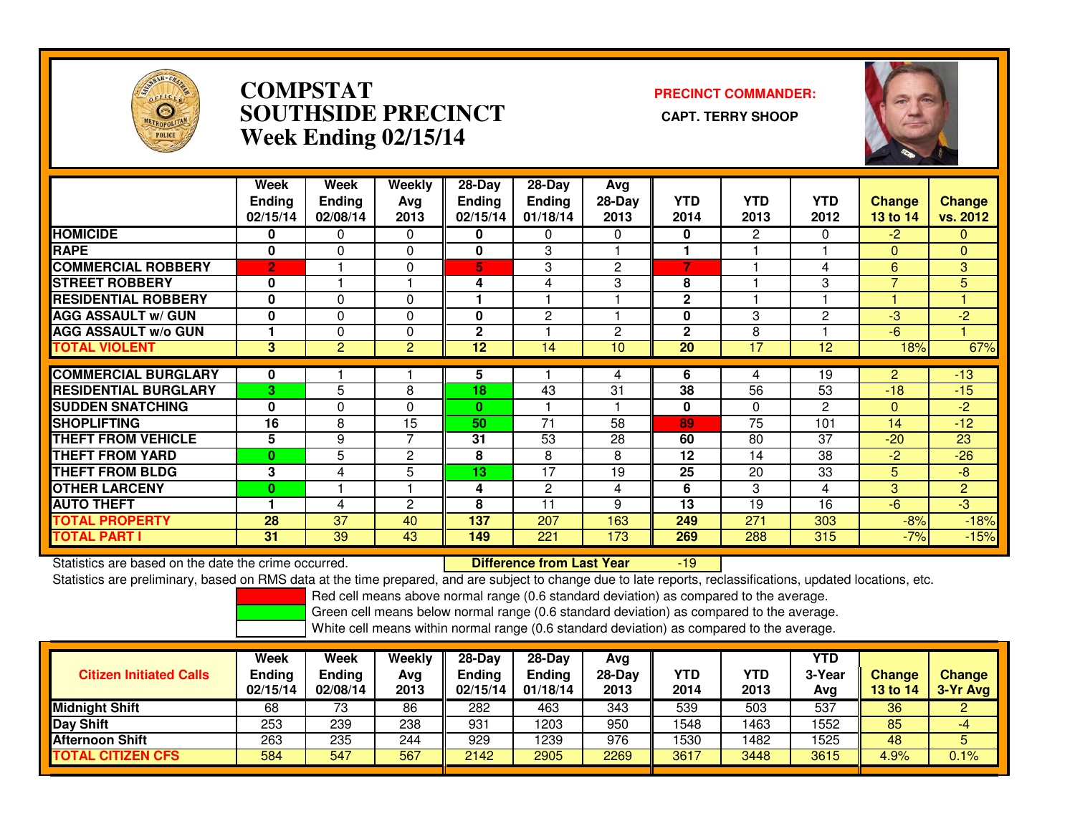

### **COMPSTAT PRECINCT COMMANDER: SOUTHSIDE PRECINCT CAPT. TERRY SHOOPWeek Ending 02/15/14**



|                             | Week<br><b>Ending</b><br>02/15/14 | Week<br><b>Ending</b><br>02/08/14 | Weekly<br>Ava<br>2013 | $28-Day$<br><b>Ending</b><br>02/15/14 | 28-Day<br><b>Ending</b><br>01/18/14 | Avg<br>$28-Day$<br>2013 | <b>YTD</b><br>2014 | <b>YTD</b><br>2013 | <b>YTD</b><br>2012 | <b>Change</b><br><b>13 to 14</b> | Change<br>vs. 2012 |
|-----------------------------|-----------------------------------|-----------------------------------|-----------------------|---------------------------------------|-------------------------------------|-------------------------|--------------------|--------------------|--------------------|----------------------------------|--------------------|
| <b>HOMICIDE</b>             | 0                                 | 0                                 | $\Omega$              | 0                                     | 0                                   | $\Omega$                | 0                  | 2                  | 0                  | $-2$                             | $\overline{0}$     |
| <b>RAPE</b>                 | $\mathbf 0$                       | $\Omega$                          | 0                     | 0                                     | 3                                   |                         |                    |                    |                    | $\Omega$                         | $\mathbf{0}$       |
| <b>COMMERCIAL ROBBERY</b>   | $\overline{2}$                    |                                   | $\Omega$              | 5                                     | 3                                   | $\overline{2}$          | 7                  |                    | 4                  | 6                                | 3                  |
| <b>STREET ROBBERY</b>       | 0                                 |                                   |                       | 4                                     | 4                                   | 3                       | 8                  |                    | 3                  | $\overline{7}$                   | 5                  |
| <b>RESIDENTIAL ROBBERY</b>  | $\bf{0}$                          | $\Omega$                          | $\Omega$              |                                       |                                     |                         | $\overline{2}$     |                    |                    |                                  |                    |
| <b>AGG ASSAULT w/ GUN</b>   | $\mathbf 0$                       | 0                                 | $\Omega$              | 0                                     | 2                                   |                         | 0                  | 3                  | $\overline{c}$     | -3                               | $-2$               |
| <b>AGG ASSAULT w/o GUN</b>  |                                   | $\Omega$                          | $\Omega$              | $\mathbf{2}$                          |                                     | $\overline{2}$          | $\mathbf{2}$       | 8                  |                    | $-6$                             |                    |
| <b>TOTAL VIOLENT</b>        | 3                                 | $\overline{2}$                    | 2                     | 12                                    | 14                                  | 10                      | $\overline{20}$    | 17                 | 12                 | 18%                              | 67%                |
|                             |                                   |                                   |                       |                                       |                                     |                         |                    |                    |                    |                                  |                    |
| <b>COMMERCIAL BURGLARY</b>  | 0                                 |                                   |                       | 5                                     |                                     | 4                       | 6                  | 4                  | 19                 | $\overline{2}$                   | $-13$              |
| <b>RESIDENTIAL BURGLARY</b> | 3                                 | 5                                 | 8                     | 18                                    | 43                                  | 31                      | 38                 | 56                 | 53                 | $-18$                            | $-15$              |
| <b>SUDDEN SNATCHING</b>     | $\mathbf 0$                       | 0                                 | $\Omega$              | $\mathbf{0}$                          |                                     |                         | $\mathbf{0}$       | $\Omega$           | $\overline{c}$     | $\mathbf{0}$                     | $-2$               |
| <b>SHOPLIFTING</b>          | 16                                | 8                                 | 15                    | 50                                    | 71                                  | 58                      | 89                 | $\overline{75}$    | 101                | 14                               | $-12$              |
| <b>THEFT FROM VEHICLE</b>   | $5\phantom{.0}$                   | 9                                 | 7                     | 31                                    | 53                                  | 28                      | 60                 | 80                 | 37                 | $-20$                            | 23                 |
| <b>THEFT FROM YARD</b>      | $\bf{0}$                          | 5                                 | $\overline{c}$        | 8                                     | 8                                   | 8                       | 12                 | 14                 | 38                 | -2                               | $-26$              |
| <b>THEFT FROM BLDG</b>      | 3                                 | 4                                 | 5                     | 13                                    | 17                                  | 19                      | 25                 | 20                 | 33                 | 5                                | $-8$               |
| <b>OTHER LARCENY</b>        | 0                                 |                                   |                       | 4                                     | 2                                   | 4                       | 6                  | 3                  | 4                  | 3                                | $\overline{2}$     |
| <b>AUTO THEFT</b>           |                                   | 4                                 | $\overline{c}$        | 8                                     | 11                                  | 9                       | 13                 | 19                 | 16                 | -6                               | $-3$               |
| <b>TOTAL PROPERTY</b>       | 28                                | 37                                | 40                    | 137                                   | 207                                 | 163                     | 249                | 271                | 303                | $-8%$                            | $-18%$             |
| <b>TOTAL PART I</b>         | 31                                | 39                                | 43                    | 149                                   | 221                                 | 173                     | 269                | 288                | 315                | $-7%$                            | $-15%$             |

Statistics are based on the date the crime occurred. **Difference from Last Year** Statistics are based on the date the crime occurred. **Externee the Lub of Liberty Cast Year 19 July 2016** Statistics are based on the date trime occurred.<br>Statistics are preliminary, based on RMS data at the time prepared,

Red cell means above normal range (0.6 standard deviation) as compared to the average.

Green cell means below normal range (0.6 standard deviation) as compared to the average.

| <b>Citizen Initiated Calls</b> | Week<br><b>Ending</b><br>02/15/14 | <b>Week</b><br>Ending<br>02/08/14 | Weekly<br>Avg<br>2013 | 28-Dav<br>Ending<br>02/15/14 | $28-Dav$<br><b>Ending</b><br>01/18/14 | Avg<br>$28-Day$<br>2013 | <b>YTD</b><br>2014 | YTD<br>2013 | <b>YTD</b><br>3-Year<br>Avg | <b>Change</b><br>13 to 14 | <b>Change</b><br>3-Yr Avg |
|--------------------------------|-----------------------------------|-----------------------------------|-----------------------|------------------------------|---------------------------------------|-------------------------|--------------------|-------------|-----------------------------|---------------------------|---------------------------|
| <b>Midnight Shift</b>          | 68                                | 73                                | 86                    | 282                          | 463                                   | 343                     | 539                | 503         | 537                         | 36                        |                           |
| Day Shift                      | 253                               | 239                               | 238                   | 931                          | 1203                                  | 950                     | 1548               | 1463        | 1552                        | 85                        | -4                        |
| <b>Afternoon Shift</b>         | 263                               | 235                               | 244                   | 929                          | 1239                                  | 976                     | 530                | 1482        | 1525                        | 48                        | 5                         |
| <b>CITIZEN CFS</b><br>ΤΟΤΑL    | 584                               | 547                               | 567                   | 2142                         | 2905                                  | 2269                    | 3617               | 3448        | 3615                        | 4.9%                      | 0.1%                      |